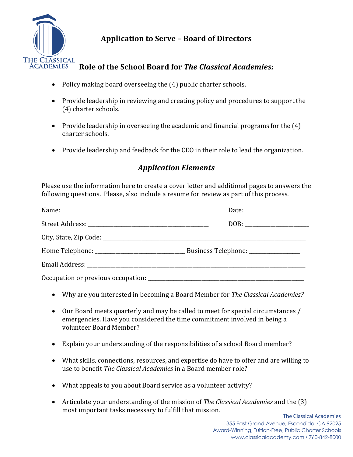

## **Application to Serve - Board of Directors**

## Role of the School Board for The Classical Academies:

- Policy making board overseeing the (4) public charter schools.
- Provide leadership in reviewing and creating policy and procedures to support the (4) charter schools.
- Provide leadership in overseeing the academic and financial programs for the  $(4)$ charter schools.
- Provide leadership and feedback for the CEO in their role to lead the organization.

## **Application Elements**

Please use the information here to create a cover letter and additional pages to answers the following questions. Please, also include a resume for review as part of this process.

| Occupation or previous occupation: |  |
|------------------------------------|--|

- Why are you interested in becoming a Board Member for The Classical Academies?
- Our Board meets quarterly and may be called to meet for special circumstances / emergencies. Have you considered the time commitment involved in being a volunteer Board Member?
- Explain your understanding of the responsibilities of a school Board member?
- What skills, connections, resources, and expertise do have to offer and are willing to use to benefit The Classical Academies in a Board member role?
- What appeals to you about Board service as a volunteer activity?
- Articulate your understanding of the mission of The Classical Academies and the (3) most important tasks necessary to fulfill that mission.